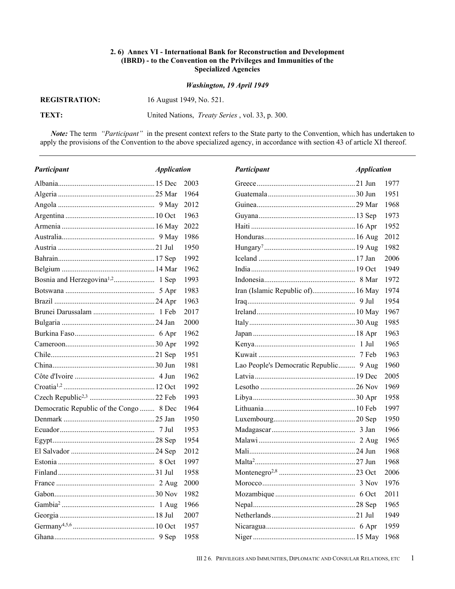## **2. 6) Annex VI - International Bank for Reconstruction and Development (IBRD) - to the Convention on the Privileges and Immunities of the Specialized Agencies**

## *Washington, 19 April 1949*

## **REGISTRATION: REGISTRATION:** 16 August 1949, No. 521.

**TEXT:** United Nations, *Treaty Series* , vol. 33, p. 300.

*Note:* The term *"Participant"* in the present context refers to the State party to the Convention, which has undertaken to apply the provisions of the Convention to the above specialized agency, in accordance with section 43 of article XI thereof.

| Participant<br><i><b>Application</b></i> |        | Participant                            | <b>Application</b> |      |
|------------------------------------------|--------|----------------------------------------|--------------------|------|
|                                          | 2003   |                                        |                    | 1977 |
|                                          | -1964  |                                        |                    | 1951 |
|                                          | 2012   |                                        |                    | 1968 |
|                                          | 1963   |                                        |                    | 1973 |
|                                          | 2022   |                                        |                    | 1952 |
|                                          | - 1986 |                                        |                    | 2012 |
|                                          | 1950   |                                        |                    | 1982 |
|                                          | 1992   |                                        |                    | 2006 |
|                                          | 1962   |                                        |                    | 1949 |
|                                          | 1993   |                                        |                    | 1972 |
|                                          | 1983   | Iran (Islamic Republic of) 16 May      |                    | 1974 |
|                                          | 1963   |                                        |                    | 1954 |
|                                          | 2017   |                                        |                    | 1967 |
|                                          | 2000   |                                        |                    | 1985 |
|                                          | 1962   |                                        |                    | 1963 |
|                                          | 1992   |                                        |                    | 1965 |
|                                          | 1951   |                                        |                    | 1963 |
|                                          | 1981   | Lao People's Democratic Republic 9 Aug |                    | 1960 |
|                                          | 1962   |                                        |                    | 2005 |
|                                          | 1992   |                                        |                    | 1969 |
|                                          | 1993   |                                        |                    | 1958 |
| Democratic Republic of the Congo  8 Dec  | 1964   |                                        |                    | 1997 |
|                                          | 1950   |                                        |                    | 1950 |
|                                          | 1953   |                                        |                    | 1966 |
|                                          | 1954   |                                        |                    | 1965 |
|                                          | 2012   |                                        |                    | 1968 |
|                                          | 1997   |                                        |                    | 1968 |
|                                          | 1958   |                                        |                    | 2006 |
|                                          | 2000   |                                        |                    | 1976 |
|                                          | 1982   |                                        |                    | 2011 |
|                                          | 1966   |                                        |                    | 1965 |
|                                          | 2007   |                                        |                    | 1949 |
|                                          | 1957   |                                        |                    | 1959 |
|                                          | 1958   |                                        |                    |      |